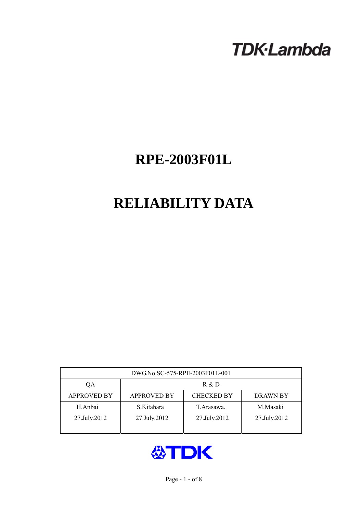# **TDK-Lambda**

## **RPE-2003F01L**

## **RELIABILITY DATA**

| DWG.No.SC-575-RPE-2003F01L-001 |                                                            |              |              |  |  |  |  |
|--------------------------------|------------------------------------------------------------|--------------|--------------|--|--|--|--|
| QA                             | R & D                                                      |              |              |  |  |  |  |
| <b>APPROVED BY</b>             | <b>CHECKED BY</b><br><b>APPROVED BY</b><br><b>DRAWN BY</b> |              |              |  |  |  |  |
| H.Anbai                        | S.Kitahara                                                 | T Arasawa.   | M.Masaki     |  |  |  |  |
| 27.July.2012                   | 27.July.2012                                               | 27.July.2012 | 27.July.2012 |  |  |  |  |
|                                |                                                            |              |              |  |  |  |  |

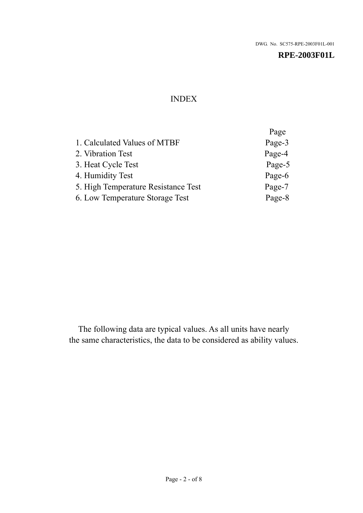## INDEX

|                                     | Page   |
|-------------------------------------|--------|
| 1. Calculated Values of MTBF        | Page-3 |
| 2. Vibration Test                   | Page-4 |
| 3. Heat Cycle Test                  | Page-5 |
| 4. Humidity Test                    | Page-6 |
| 5. High Temperature Resistance Test | Page-7 |
| 6. Low Temperature Storage Test     | Page-8 |

The following data are typical values. As all units have nearly the same characteristics, the data to be considered as ability values.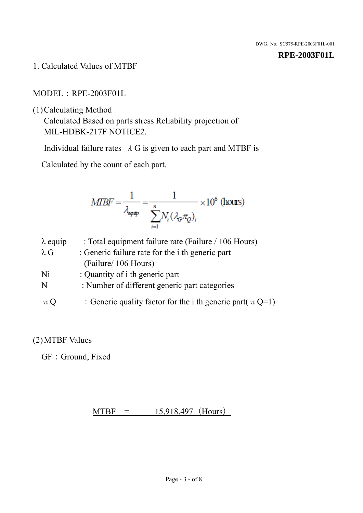1. Calculated Values of MTBF

MODEL:RPE-2003F01L

(1)Calculating Method

Calculated Based on parts stress Reliability projection of MIL-HDBK-217F NOTICE2.

Individual failure rates  $\lambda$  G is given to each part and MTBF is

Calculated by the count of each part.

$$
MIBF = \frac{1}{\lambda_{\text{expap}}} = \frac{1}{\sum_{i=1}^{n} N_i (\lambda_{\text{G}} \pi_Q)_i} \times 10^6 \text{ (hours)}
$$

| $\lambda$ equip | : Total equipment failure rate (Failure / 106 Hours)            |
|-----------------|-----------------------------------------------------------------|
| $\lambda$ G     | : Generic failure rate for the <i>i</i> th generic part         |
|                 | (Failure/ 106 Hours)                                            |
| Ni              | : Quantity of i th generic part                                 |
| N               | : Number of different generic part categories                   |
| $\pi Q$         | : Generic quality factor for the i th generic part( $\pi Q=1$ ) |

## (2)MTBF Values

GF: Ground, Fixed

 $MTBF = 15,918,497$  (Hours)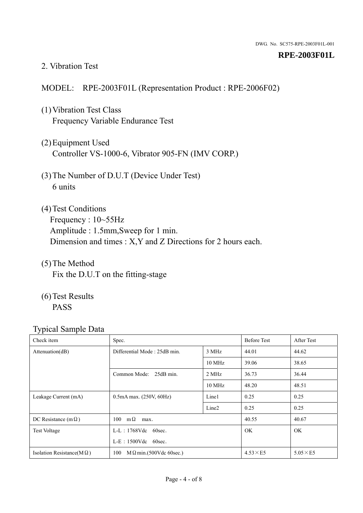#### 2. Vibration Test

## MODEL: RPE-2003F01L (Representation Product : RPE-2006F02)

- (1)Vibration Test Class Frequency Variable Endurance Test
- (2)Equipment Used Controller VS-1000-6, Vibrator 905-FN (IMV CORP.)
- (3)The Number of D.U.T (Device Under Test) 6 units
- (4) Test Conditions Frequency : 10~55Hz Amplitude : 1.5mm,Sweep for 1 min. Dimension and times : X,Y and Z Directions for 2 hours each.
- (5)The Method Fix the D.U.T on the fitting-stage
- (6)Test Results PASS

| Check item                        | Spec.                                 |                   | <b>Before Test</b> | After Test      |
|-----------------------------------|---------------------------------------|-------------------|--------------------|-----------------|
| Attenuation(dB)                   | Differential Mode: 25dB min.<br>3 MHz |                   | 44.01              | 44.62           |
|                                   |                                       | $10 \text{ MHz}$  | 39.06              | 38.65           |
|                                   | Common Mode: 25dB min.                | 2 MHz             | 36.73              | 36.44           |
|                                   |                                       | 10 MHz            | 48.20              | 48.51           |
| Leakage Current (mA)              | $0.5mA$ max. $(250V, 60Hz)$           | Line1             | 0.25               | 0.25            |
|                                   |                                       | Line <sub>2</sub> | 0.25               | 0.25            |
| DC Resistance (m $\Omega$ )       | $100 \text{ m}\Omega$<br>max.         |                   | 40.55              | 40.67           |
| <b>Test Voltage</b>               | $L-L$ : 1768Vdc 60sec.                |                   | <b>OK</b>          | <b>OK</b>       |
|                                   | $L-E$ : 1500Vdc 60sec.                |                   |                    |                 |
| Isolation Resistance( $M\Omega$ ) | 100<br>$M\Omega$ min.(500Vdc 60sec.)  |                   | $4.53\times E5$    | $5.05\times E5$ |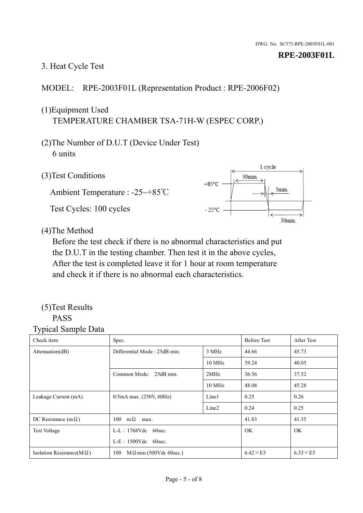## 3. Heat Cycle Test

## MODEL: RPE-2003F01L (Representation Product : RPE-2006F02)

## (1)Equipment Used TEMPERATURE CHAMBER TSA-71H-W (ESPEC CORP.)

- (2)The Number of D.U.T (Device Under Test) 6 units
- 1 cycle (3)Test Conditions 30<sub>min</sub>  $+85^{\circ}$ C 3min. Ambient Temperature : -25~+85℃ Test Cycles: 100 cycles  $-25^{\circ}$ C 30min.

(4)The Method

Before the test check if there is no abnormal characteristics and put the D.U.T in the testing chamber. Then test it in the above cycles, After the test is completed leave it for 1 hour at room temperature and check it if there is no abnormal each characteristics.

#### (5)Test Results PASS

| ┙┸<br>Check item                  | Spec.                                 |                   | <b>Before Test</b> | After Test      |
|-----------------------------------|---------------------------------------|-------------------|--------------------|-----------------|
| Attention(dB)                     | Differential Mode: 25dB min.<br>3 MHz |                   | 44.66              | 45.73           |
|                                   |                                       | 10 MHz            | 39.24              | 40.05           |
|                                   | Common Mode: 25dB min.                | 2MHz              | 36.56              | 37.52           |
|                                   |                                       | 10 MHz            | 48.08              | 45.28           |
| Leakage Current (mA)              | $0/5$ mA max. (250V, 60Hz)            | Line1             | 0.25               | 0.26            |
|                                   |                                       | Line <sub>2</sub> | 0.24               | 0.25            |
| DC Resistance (m $\Omega$ )       | $100 \quad m\Omega$<br>max.           |                   | 41.83              | 41.35           |
| <b>Test Voltage</b>               | $L-L$ : 1768Vdc 60sec.                |                   | OK.                | OK.             |
|                                   | $L-E$ : 1500Vdc 60sec.                |                   |                    |                 |
| Isolation Resistance(M $\Omega$ ) | 100<br>$M\Omega$ min.(500Vdc 60sec.)  |                   | $6.42\times E5$    | $6.33\times E5$ |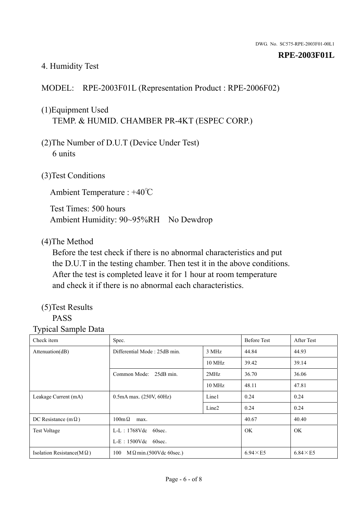#### 4. Humidity Test

## MODEL: RPE-2003F01L (Representation Product : RPE-2006F02)

## (1)Equipment Used TEMP. & HUMID. CHAMBER PR-4KT (ESPEC CORP.)

- (2)The Number of D.U.T (Device Under Test) 6 units
- (3)Test Conditions

Ambient Temperature : +40℃

Test Times: 500 hours Ambient Humidity: 90~95%RH No Dewdrop

#### (4)The Method

Before the test check if there is no abnormal characteristics and put the D.U.T in the testing chamber. Then test it in the above conditions. After the test is completed leave it for 1 hour at room temperature and check it if there is no abnormal each characteristics.

## (5)Test Results

## PASS

| ັ່<br>л.<br>Check item            | Spec.                                 |                   | <b>Before Test</b> | After Test      |
|-----------------------------------|---------------------------------------|-------------------|--------------------|-----------------|
| Attenuation(dB)                   | Differential Mode: 25dB min.<br>3 MHz |                   | 44.84              | 44.93           |
|                                   |                                       | 10 MHz            | 39.42              | 39.14           |
|                                   | Common Mode: 25dB min.                | 2MHz              | 36.70              | 36.06           |
|                                   |                                       | 10 MHz            | 48.11              | 47.81           |
| Leakage Current (mA)              | $0.5mA$ max. $(250V, 60Hz)$           | Line1             | 0.24               | 0.24            |
|                                   |                                       | Line <sub>2</sub> | 0.24               | 0.24            |
| DC Resistance (m $\Omega$ )       | $100 \text{m}\,\Omega$<br>max.        |                   | 40.67              | 40.40           |
| <b>Test Voltage</b>               | $L-L$ : 1768Vdc 60sec.                |                   | OK.                | OK.             |
|                                   | $L-E$ : 1500Vdc 60sec.                |                   |                    |                 |
| Isolation Resistance(M $\Omega$ ) | $M \Omega$ min.(500Vdc 60sec.)<br>100 |                   | $6.94\times E5$    | $6.84\times E5$ |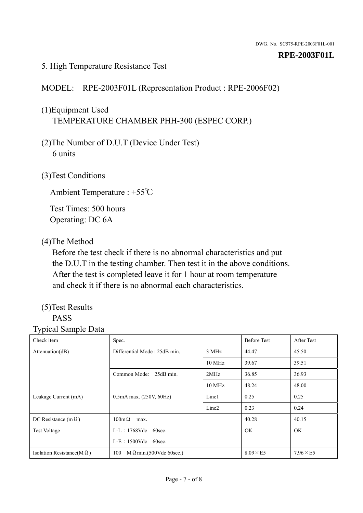#### 5. High Temperature Resistance Test

### MODEL: RPE-2003F01L (Representation Product : RPE-2006F02)

## (1)Equipment Used TEMPERATURE CHAMBER PHH-300 (ESPEC CORP.)

- (2)The Number of D.U.T (Device Under Test) 6 units
- (3)Test Conditions

Ambient Temperature : +55℃

Test Times: 500 hours Operating: DC 6A

#### (4)The Method

Before the test check if there is no abnormal characteristics and put the D.U.T in the testing chamber. Then test it in the above conditions. After the test is completed leave it for 1 hour at room temperature and check it if there is no abnormal each characteristics.

## (5)Test Results

## PASS

| . .<br>Check item                 | Spec.                                 |                   | <b>Before Test</b> | After Test      |
|-----------------------------------|---------------------------------------|-------------------|--------------------|-----------------|
| Attention(dB)                     | Differential Mode: 25dB min.<br>3 MHz |                   | 44.47              | 45.50           |
|                                   |                                       | 10 MHz            | 39.67              | 39.51           |
|                                   | Common Mode: 25dB min.                | 2MHz              | 36.85              | 36.93           |
|                                   |                                       | 10 MHz            | 48.24              | 48.00           |
| Leakage Current (mA)              | $0.5mA$ max. $(250V, 60Hz)$           | Line1             | 0.25               | 0.25            |
|                                   |                                       | Line <sub>2</sub> | 0.23               | 0.24            |
| DC Resistance (m $\Omega$ )       | $100m\Omega$<br>max.                  |                   | 40.28              | 40.15           |
| <b>Test Voltage</b>               | $L-L$ : 1768Vdc 60sec.                |                   | <b>OK</b>          | OK.             |
|                                   | $L-E$ : 1500Vdc 60sec.                |                   |                    |                 |
| Isolation Resistance( $M\Omega$ ) | 100<br>$M \Omega$ min.(500Vdc 60sec.) |                   | $8.09\times E5$    | $7.96\times E5$ |